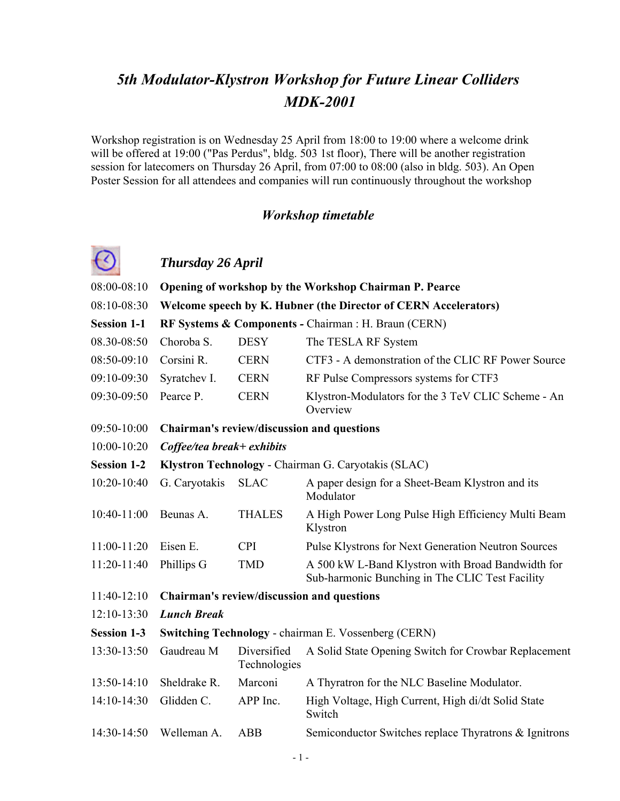# *5th Modulator-Klystron Workshop for Future Linear Colliders MDK-2001*

Workshop registration is on Wednesday 25 April from 18:00 to 19:00 where a welcome drink will be offered at 19:00 ("Pas Perdus", bldg. 503 1st floor), There will be another registration session for latecomers on Thursday 26 April, from 07:00 to 08:00 (also in bldg. 503). An Open Poster Session for all attendees and companies will run continuously throughout the workshop

#### *Workshop timetable*



## *Thursday 26 April*

| 08:00-08:10        |                                                             |                             | Opening of workshop by the Workshop Chairman P. Pearce                                               |
|--------------------|-------------------------------------------------------------|-----------------------------|------------------------------------------------------------------------------------------------------|
| 08:10-08:30        |                                                             |                             | Welcome speech by K. Hubner (the Director of CERN Accelerators)                                      |
| <b>Session 1-1</b> |                                                             |                             | RF Systems & Components - Chairman : H. Braun (CERN)                                                 |
| 08.30-08:50        | Choroba S.                                                  | <b>DESY</b>                 | The TESLA RF System                                                                                  |
| 08:50-09:10        | Corsini R.                                                  | <b>CERN</b>                 | CTF3 - A demonstration of the CLIC RF Power Source                                                   |
| 09:10-09:30        | Syratchev I.                                                | <b>CERN</b>                 | RF Pulse Compressors systems for CTF3                                                                |
| 09:30-09:50        | Pearce P.                                                   | <b>CERN</b>                 | Klystron-Modulators for the 3 TeV CLIC Scheme - An<br>Overview                                       |
| 09:50-10:00        | Chairman's review/discussion and questions                  |                             |                                                                                                      |
| 10:00-10:20        | Coffee/tea break+ exhibits                                  |                             |                                                                                                      |
| <b>Session 1-2</b> | Klystron Technology - Chairman G. Caryotakis (SLAC)         |                             |                                                                                                      |
| 10:20-10:40        | G. Caryotakis                                               | <b>SLAC</b>                 | A paper design for a Sheet-Beam Klystron and its<br>Modulator                                        |
| 10:40-11:00        | Beunas A.                                                   | <b>THALES</b>               | A High Power Long Pulse High Efficiency Multi Beam<br>Klystron                                       |
| $11:00-11:20$      | Eisen E.                                                    | <b>CPI</b>                  | <b>Pulse Klystrons for Next Generation Neutron Sources</b>                                           |
| 11:20-11:40        | Phillips G                                                  | <b>TMD</b>                  | A 500 kW L-Band Klystron with Broad Bandwidth for<br>Sub-harmonic Bunching in The CLIC Test Facility |
| 11:40-12:10        | Chairman's review/discussion and questions                  |                             |                                                                                                      |
| $12:10-13:30$      | <b>Lunch Break</b>                                          |                             |                                                                                                      |
| <b>Session 1-3</b> | <b>Switching Technology - chairman E. Vossenberg (CERN)</b> |                             |                                                                                                      |
| 13:30-13:50        | Gaudreau M                                                  | Diversified<br>Technologies | A Solid State Opening Switch for Crowbar Replacement                                                 |
| 13:50-14:10        | Sheldrake R.                                                | Marconi                     | A Thyratron for the NLC Baseline Modulator.                                                          |
| 14:10-14:30        | Glidden C.                                                  | APP Inc.                    | High Voltage, High Current, High di/dt Solid State<br>Switch                                         |
| 14:30-14:50        | Welleman A.                                                 | <b>ABB</b>                  | Semiconductor Switches replace Thyratrons & Ignitrons                                                |
|                    |                                                             |                             |                                                                                                      |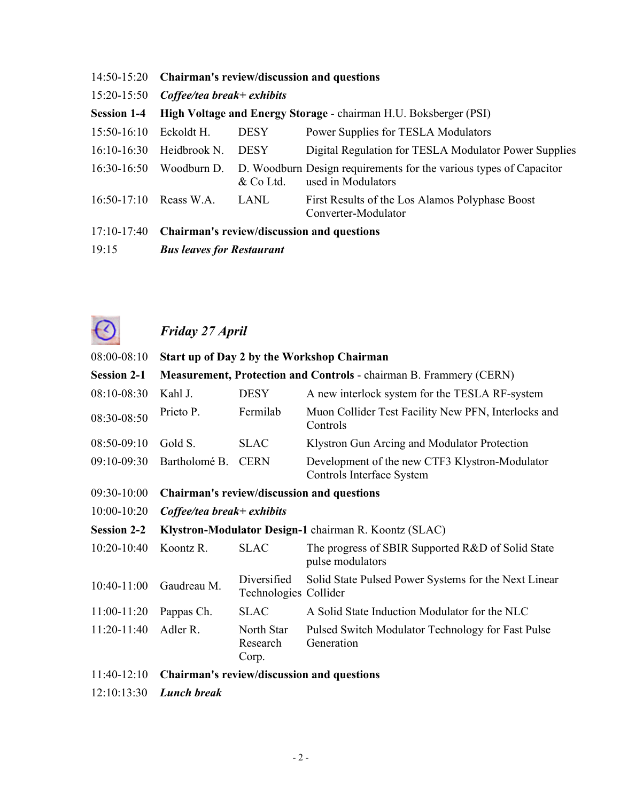| $14:50-15:20$      |                                  |                                 | Chairman's review/discussion and questions                                               |  |
|--------------------|----------------------------------|---------------------------------|------------------------------------------------------------------------------------------|--|
| $15:20-15:50$      |                                  | $Cof fee/tea\ break + exhibits$ |                                                                                          |  |
| <b>Session 1-4</b> |                                  |                                 | High Voltage and Energy Storage - chairman H.U. Boksberger (PSI)                         |  |
| $15:50-16:10$      | Eckoldt H.                       | <b>DESY</b>                     | Power Supplies for TESLA Modulators                                                      |  |
| $16:10-16:30$      | Heidbrook N.                     | <b>DESY</b>                     | Digital Regulation for TESLA Modulator Power Supplies                                    |  |
| $16:30-16:50$      | Woodburn D.                      | & Co Ltd.                       | D. Woodburn Design requirements for the various types of Capacitor<br>used in Modulators |  |
| $16:50-17:10$      | Reass W.A.                       | LANL                            | First Results of the Los Alamos Polyphase Boost<br>Converter-Modulator                   |  |
| $17:10-17:40$      |                                  |                                 | <b>Chairman's review/discussion and questions</b>                                        |  |
| 19:15              | <b>Bus leaves for Restaurant</b> |                                 |                                                                                          |  |



# *Friday 27 April*

| 08:00-08:10        |                                                       |                                      | Start up of Day 2 by the Workshop Chairman                                  |
|--------------------|-------------------------------------------------------|--------------------------------------|-----------------------------------------------------------------------------|
| <b>Session 2-1</b> |                                                       |                                      | Measurement, Protection and Controls - chairman B. Frammery (CERN)          |
| 08:10-08:30        | Kahl J.                                               | <b>DESY</b>                          | A new interlock system for the TESLA RF-system                              |
| 08:30-08:50        | Prieto P.                                             | Fermilab                             | Muon Collider Test Facility New PFN, Interlocks and<br>Controls             |
| 08:50-09:10        | Gold S.                                               | <b>SLAC</b>                          | Klystron Gun Arcing and Modulator Protection                                |
| 09:10-09:30        | Bartholomé B.                                         | <b>CERN</b>                          | Development of the new CTF3 Klystron-Modulator<br>Controls Interface System |
| 09:30-10:00        | Chairman's review/discussion and questions            |                                      |                                                                             |
| $10:00 - 10:20$    | $Cof fee/tea\ break + exhibits$                       |                                      |                                                                             |
| <b>Session 2-2</b> | Klystron-Modulator Design-1 chairman R. Koontz (SLAC) |                                      |                                                                             |
| $10:20 - 10:40$    | Koontz R.                                             | <b>SLAC</b>                          | The progress of SBIR Supported R&D of Solid State<br>pulse modulators       |
| $10:40-11:00$      | Gaudreau M.                                           | Diversified<br>Technologies Collider | Solid State Pulsed Power Systems for the Next Linear                        |
| $11:00-11:20$      | Pappas Ch.                                            | <b>SLAC</b>                          | A Solid State Induction Modulator for the NLC                               |
| 11:20-11:40        | Adler R.                                              | North Star<br>Research<br>Corp.      | Pulsed Switch Modulator Technology for Fast Pulse<br>Generation             |
| 11:40-12:10        |                                                       |                                      | Chairman's review/discussion and questions                                  |
| 12:10:13:30        | <b>Lunch break</b>                                    |                                      |                                                                             |